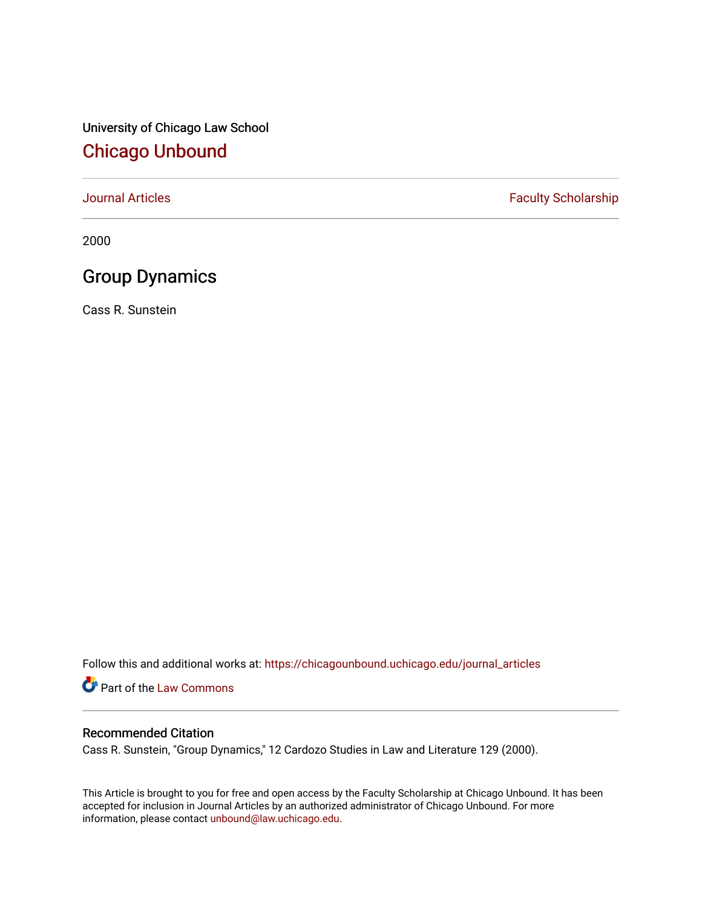University of Chicago Law School [Chicago Unbound](https://chicagounbound.uchicago.edu/)

[Journal Articles](https://chicagounbound.uchicago.edu/journal_articles) **Faculty Scholarship Faculty Scholarship** 

2000

# Group Dynamics

Cass R. Sunstein

Follow this and additional works at: [https://chicagounbound.uchicago.edu/journal\\_articles](https://chicagounbound.uchicago.edu/journal_articles?utm_source=chicagounbound.uchicago.edu%2Fjournal_articles%2F8385&utm_medium=PDF&utm_campaign=PDFCoverPages) 

Part of the [Law Commons](http://network.bepress.com/hgg/discipline/578?utm_source=chicagounbound.uchicago.edu%2Fjournal_articles%2F8385&utm_medium=PDF&utm_campaign=PDFCoverPages)

# Recommended Citation

Cass R. Sunstein, "Group Dynamics," 12 Cardozo Studies in Law and Literature 129 (2000).

This Article is brought to you for free and open access by the Faculty Scholarship at Chicago Unbound. It has been accepted for inclusion in Journal Articles by an authorized administrator of Chicago Unbound. For more information, please contact [unbound@law.uchicago.edu](mailto:unbound@law.uchicago.edu).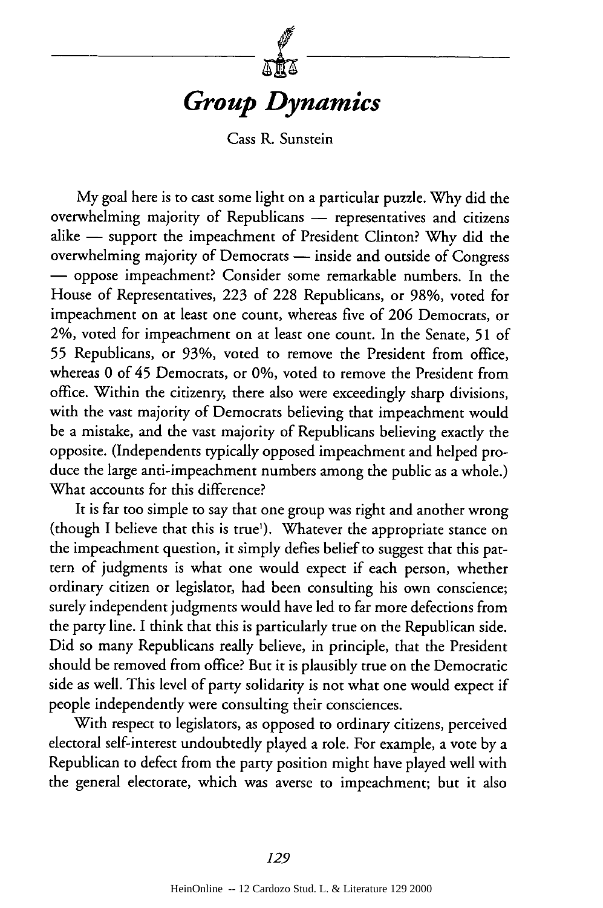*Group Dynamics*

Cass R. Sunstein

My goal here is to cast some light on a particular puzzle. Why did the overwhelming majority of Republicans - representatives and citizens alike - support the impeachment of President Clinton? Why did the overwhelming majority of Democrats - inside and outside of Congress **-** oppose impeachment? Consider some remarkable numbers. In the House of Representatives, 223 of 228 Republicans, or 98%, voted for impeachment on at least one count, whereas five of 206 Democrats, or 2%, voted for impeachment on at least one count. In the Senate, **51** of **55** Republicans, or 93%, voted to remove the President from office, whereas 0 of 45 Democrats, or 0%, voted to remove the President from office. Within the citizenry, there also were exceedingly sharp divisions, with the vast majority of Democrats believing that impeachment would be a mistake, and the vast majority of Republicans believing exactly the opposite. (Independents typically opposed impeachment and helped produce the large anti-impeachment numbers among the public as a whole.) What accounts for this difference?

It is far too simple to say that one group was right and another wrong (though I believe that this is true'). Whatever the appropriate stance on the impeachment question, it simply defies belief to suggest that this pattern of judgments is what one would expect if each person, whether ordinary citizen or legislator, had been consulting his own conscience; surely independent judgments would have led to far more defections from the party line. I think that this is particularly true on the Republican side. Did so many Republicans really believe, in principle, that the President should be removed from office? But it is plausibly true on the Democratic side as well. This level of party solidarity is not what one would expect if people independently were consulting their consciences.

With respect to legislators, as opposed to ordinary citizens, perceived electoral self-interest undoubtedly played a role. For example, a vote by a Republican to defect from the party position might have played well with the general electorate, which was averse to impeachment; but it also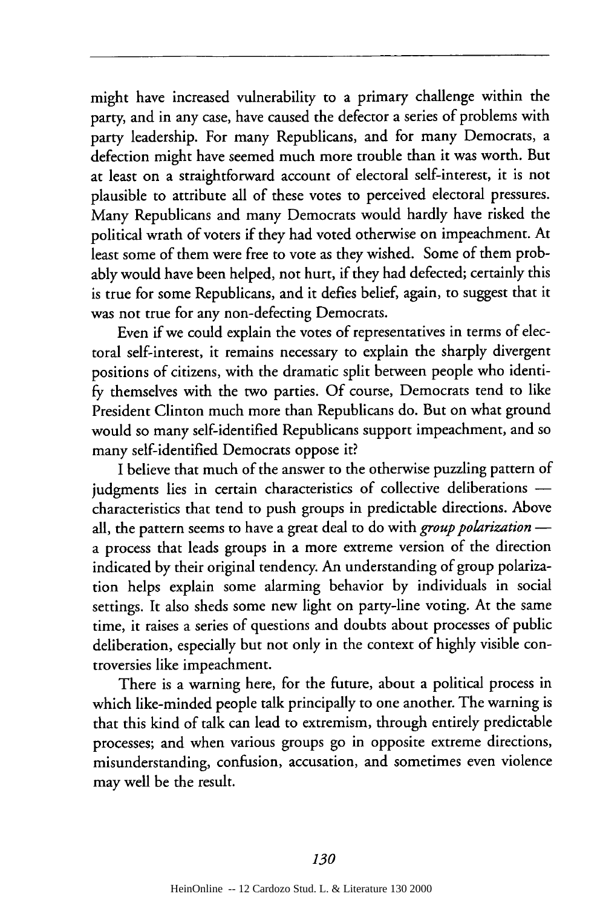might have increased vulnerability to a primary challenge within the party, and in any case, have caused the defector a series of problems with party leadership. For many Republicans, and for many Democrats, a defection might have seemed much more trouble than it was worth. But at least on a straightforward account of electoral self-interest, it is not plausible to attribute all of these votes to perceived electoral pressures. Many Republicans and many Democrats would hardly have risked the political wrath of voters if they had voted otherwise on impeachment. At least some of them were free to vote as they wished. Some of them probably would have been helped, not hurt, if they had defected; certainly this is true for some Republicans, and it defies belief, again, to suggest that it was not true for any non-defecting Democrats.

Even if we could explain the votes of representatives in terms of electoral self-interest, it remains necessary to explain the sharply divergent positions of citizens, with the dramatic split between people who identify themselves with the two parties. Of course, Democrats tend to like President Clinton much more than Republicans do. But on what ground would so many self-identified Republicans support impeachment, and so many self-identified Democrats oppose it?

I believe that much of the answer to the otherwise puzzling pattern of judgments lies in certain characteristics of collective deliberations characteristics that tend to push groups in predictable directions. Above all, the pattern seems to have a great deal to do with *group polarization* a process that leads groups in a more extreme version of the direction indicated by their original tendency. An understanding of group polarization helps explain some alarming behavior by individuals in social settings. It also sheds some new light on party-line voting. At the same time, it raises a series of questions and doubts about processes of public deliberation, especially but not only in the context of highly visible controversies like impeachment.

There is a warning here, for the future, about a political process in which like-minded people talk principally to one another. The warning is that this kind of talk can lead to extremism, through entirely predictable processes; and when various groups go in opposite extreme directions, misunderstanding, confusion, accusation, and sometimes even violence may well be the result.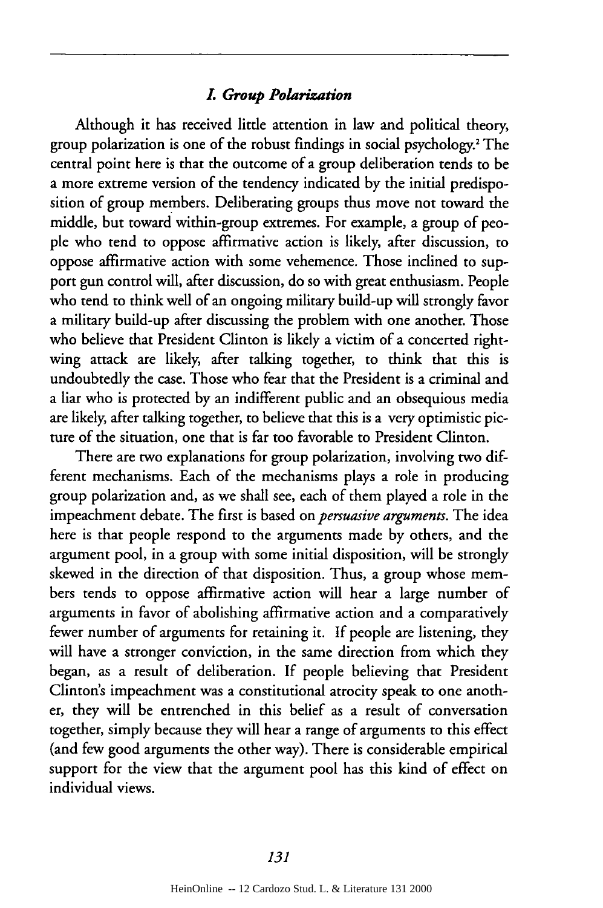#### *L Group Polarization*

Although it has received little attention in law and political theory, group polarization is one of the robust findings in social psychology? The central point here is that the outcome of a group deliberation tends to be a more extreme version of the tendency indicated by the initial predisposition of group members. Deliberating groups thus move not toward the middle, but toward within-group extremes. For example, a group of people who tend to oppose affirmative action is likely, after discussion, to oppose affirmative action with some vehemence. Those inclined to support gun control will, after discussion, do so with great enthusiasm. People who tend to think well of an ongoing military build-up will strongly favor a military build-up after discussing the problem with one another. Those who believe that President Clinton is likely a victim of a concerted rightwing attack are likely, after talking together, to think that this is undoubtedly the case. Those who fear that the President is a criminal and a liar who is protected by an indifferent public and an obsequious media are likely, after talking together, to believe that this is a very optimistic picture of the situation, one that is far too favorable to President Clinton.

There are two explanations for group polarization, involving two different mechanisms. Each of the mechanisms plays a role in producing group polarization and, as we shall see, each of them played a role in the impeachment debate. The first is based on *persuasive arguments.* The idea here is that people respond to the arguments made by others, and the argument pool, in a group with some initial disposition, will be strongly skewed in the direction of that disposition. Thus, a group whose members tends to oppose affirmative action will hear a large number of arguments in favor of abolishing affirmative action and a comparatively fewer number of arguments for retaining it. If people are listening, they will have a stronger conviction, in the same direction from which they began, as a result of deliberation. If people believing that President Clinton's impeachment was a constitutional atrocity speak to one another, they will be entrenched in this belief as a result of conversation together, simply because they will hear a range of arguments to this effect (and few good arguments the other way). There is considerable empirical support for the view that the argument pool has this kind of effect on individual views.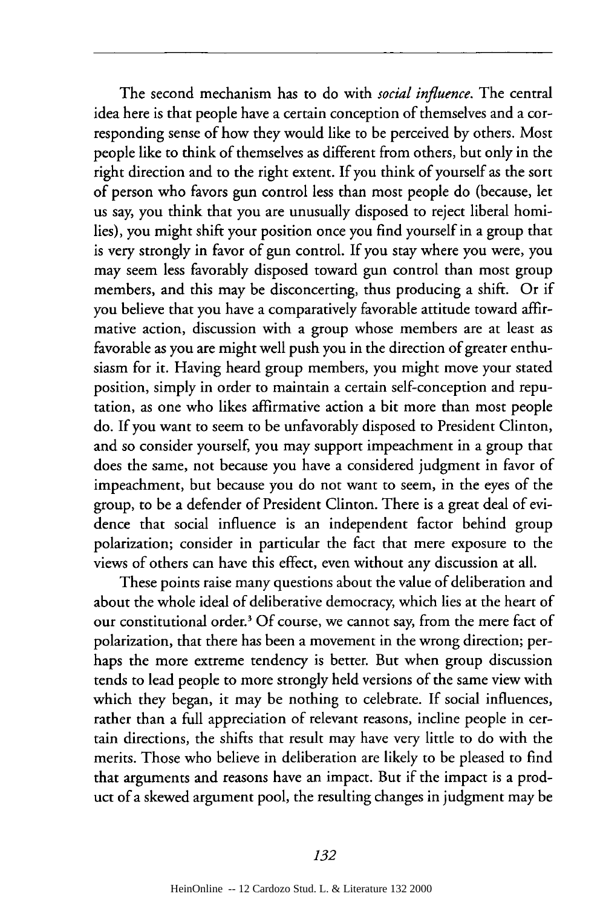The second mechanism has to do with *social influence.* The central idea here is that people have a certain conception of themselves and a corresponding sense of how they would like to be perceived by others. Most people like to think of themselves as different from others, but only in the right direction and to the right extent. If you think of yourself as the sort of person who favors gun control less than most people do (because, let us say, you think that you are unusually disposed to reject liberal homilies), you might shift your position once you find yourself in a group that is very strongly in favor of gun control. If you stay where you were, you may seem less favorably disposed toward gun control than most group members, and this may be disconcerting, thus producing a shift. Or if you believe that you have a comparatively favorable attitude toward affirmative action, discussion with a group whose members are at least as favorable as you are might well push you in the direction of greater enthusiasm for it. Having heard group members, you might move your stated position, simply in order to maintain a certain self-conception and reputation, as one who likes affirmative action a bit more than most people do. If you want to seem to be unfavorably disposed to President Clinton, and so consider yourself, you may support impeachment in a group that does the same, not because you have a considered judgment in favor of impeachment, but because you do not want to seem, in the eyes of the group, to be a defender of President Clinton. There is a great deal of evidence that social influence is an independent factor behind group polarization; consider in particular the fact that mere exposure to the views of others can have this effect, even without any discussion at all.

These points raise many questions about the value of deliberation and about the whole ideal of deliberative democracy, which lies at the heart of our constitutional order.' Of course, we cannot say, from the mere fact of polarization, that there has been a movement in the wrong direction; perhaps the more extreme tendency is better. But when group discussion tends to lead people to more strongly held versions of the same view with which they began, it may be nothing to celebrate. If social influences, rather than a full appreciation of relevant reasons, incline people in certain directions, the shifts that result may have very little to do with the merits. Those who believe in deliberation are likely to be pleased to find that arguments and reasons have an impact. But if the impact is a product of a skewed argument pool, the resulting changes in judgment may be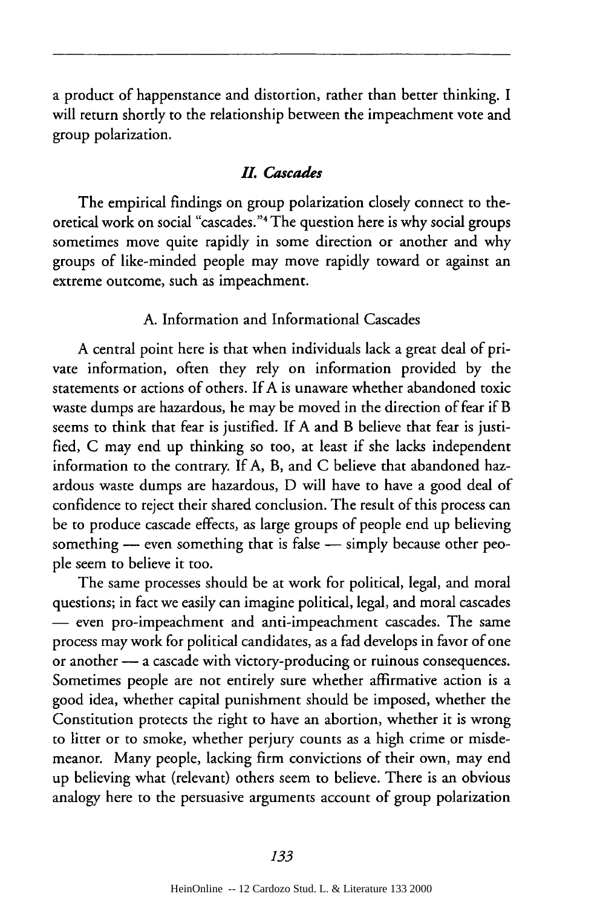a product of happenstance and distortion, rather than better thinking. I will return shortly to the relationship between the impeachment vote and group polarization.

## *I Cascades*

The empirical findings on group polarization closely connect to theoretical work on social "cascades."4 The question here is why social groups sometimes move quite rapidly in some direction or another and why groups of like-minded people may move rapidly toward or against an extreme outcome, such as impeachment.

## A. Information and Informational Cascades

A central point here is that when individuals lack a great deal of private information, often they rely on information provided by the statements or actions of others. If A is unaware whether abandoned toxic waste dumps are hazardous, he may be moved in the direction of fear if B seems to think that fear is justified. If A and B believe that fear is justified, C may end up thinking so too, at least if she lacks independent information to the contrary. If A, B, and C believe that abandoned hazardous waste dumps are hazardous, D will have to have a good deal of confidence to reject their shared conclusion. The result of this process can be to produce cascade effects, as large groups of people end up believing something - even something that is false - simply because other people seem to believe it too.

The same processes should be at work for political, legal, and moral questions; in fact we easily can imagine political, legal, and moral cascades **-** even pro-impeachment and anti-impeachment cascades. The same process may work for political candidates, as a fad develops in favor of one or another - a cascade with victory-producing or ruinous consequences. Sometimes people are not entirely sure whether affirmative action is a good idea, whether capital punishment should be imposed, whether the Constitution protects the right to have an abortion, whether it is wrong to litter or to smoke, whether perjury counts as a high crime or misdemeanor. Many people, lacking firm convictions of their own, may end up believing what (relevant) others seem to believe. There is an obvious analogy here to the persuasive arguments account of group polarization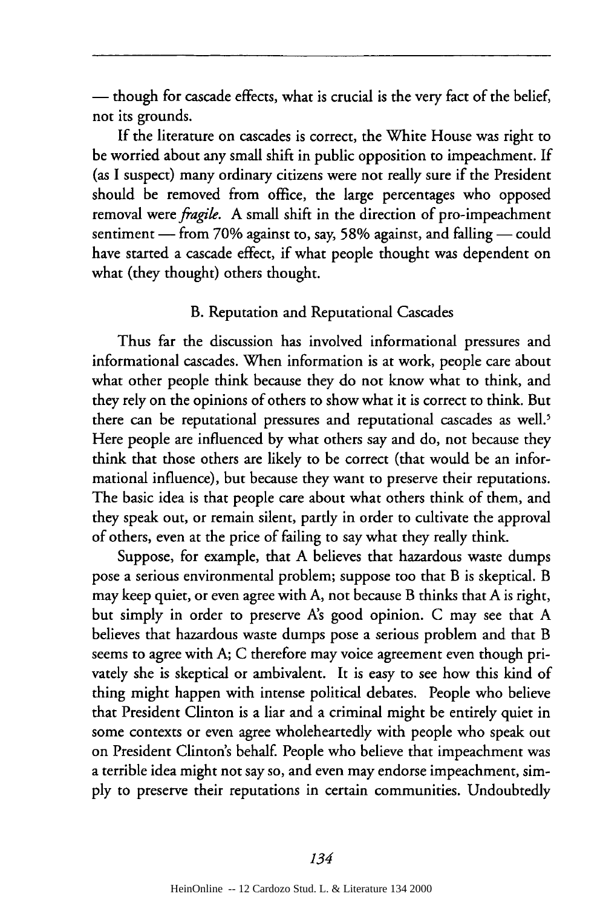- though for cascade effects, what is crucial is the very fact of the belief, not its grounds.

If the literature on cascades is correct, the White House was right to be worried about any small shift in public opposition to impeachment. If (as I suspect) many ordinary citizens were not really sure if the President should be removed from office, the large percentages who opposed removal were *fragile*. A small shift in the direction of pro-impeachment sentiment - from 70% against to, say, 58% against, and falling - could have started a cascade effect, if what people thought was dependent on what (they thought) others thought.

#### B. Reputation and Reputational Cascades

Thus far the discussion has involved informational pressures and informational cascades. When information is at work, people care about what other people think because they do not know what to think, and they rely on the opinions of others to show what it is correct to think. But there can be reputational pressures and reputational cascades as well.<sup>5</sup> Here people are influenced by what others say and do, not because they think that those others are likely to be correct (that would be an informational influence), but because they want to preserve their reputations. The basic idea is that people care about what others think of them, and they speak out, or remain silent, partly in order to cultivate the approval of others, even at the price of failing to say what they really think.

Suppose, for example, that A believes that hazardous waste dumps pose a serious environmental problem; suppose too that B is skeptical. B may keep quiet, or even agree with A, not because B thinks that A is right, but simply in order to preserve A's good opinion. C may see that A believes that hazardous waste dumps pose a serious problem and that B seems to agree with **A;** C therefore may voice agreement even though privately she is skeptical or ambivalent. It is easy to see how this kind of thing might happen with intense political debates. People who believe that President Clinton is a liar and a criminal might be entirely quiet in some contexts or even agree wholeheartedly with people who speak out on President Clinton's behalf. People who believe that impeachment was a terrible idea might not say so, and even may endorse impeachment, simply to preserve their reputations in certain communities. Undoubtedly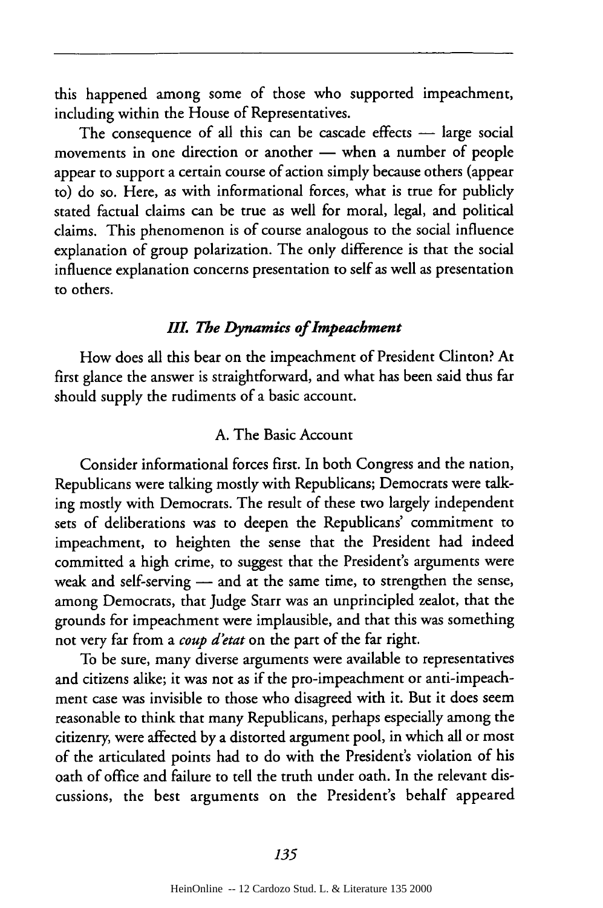this happened among some of those who supported impeachment, including within the House of Representatives.

The consequence of all this can be cascade effects  $-$  large social movements in one direction or another - when a number of people appear to support a certain course of action simply because others (appear to) do so. Here, as with informational forces, what is true for publicly stated factual claims can be true as well for moral, legal, and political claims. This phenomenon is of course analogous to the social influence explanation of group polarization. The only difference is that the social influence explanation concerns presentation to self as well as presentation to others.

#### *III The Dynamics of Impeachment*

How does all this bear on the impeachment of President Clinton? At first glance the answer is straightforward, and what has been said thus far should supply the rudiments of a basic account.

#### **A.** The Basic Account

Consider informational forces first. In both Congress and the nation, Republicans were talking mostly with Republicans; Democrats were talking mostly with Democrats. The result of these two largely independent sets of deliberations was to deepen the Republicans' commitment to impeachment, to heighten the sense that the President had indeed committed a high crime, to suggest that the President's arguments were weak and self-serving - and at the same time, to strengthen the sense, among Democrats, that Judge Starr was an unprincipled zealot, that the grounds for impeachment were implausible, and that this was something not very far from a *coup d'etat* on the part of the far right.

To be sure, many diverse arguments were available to representatives and citizens alike; it was not as if the pro-impeachment or anti-impeachment case was invisible to those who disagreed with it. But it does seem reasonable to think that many Republicans, perhaps especially among the citizenry, were affected by a distorted argument pool, in which all or most of the articulated points had to do with the President's violation of his oath of office and failure to tell the truth under oath. In the relevant discussions, the best arguments on the President's behalf appeared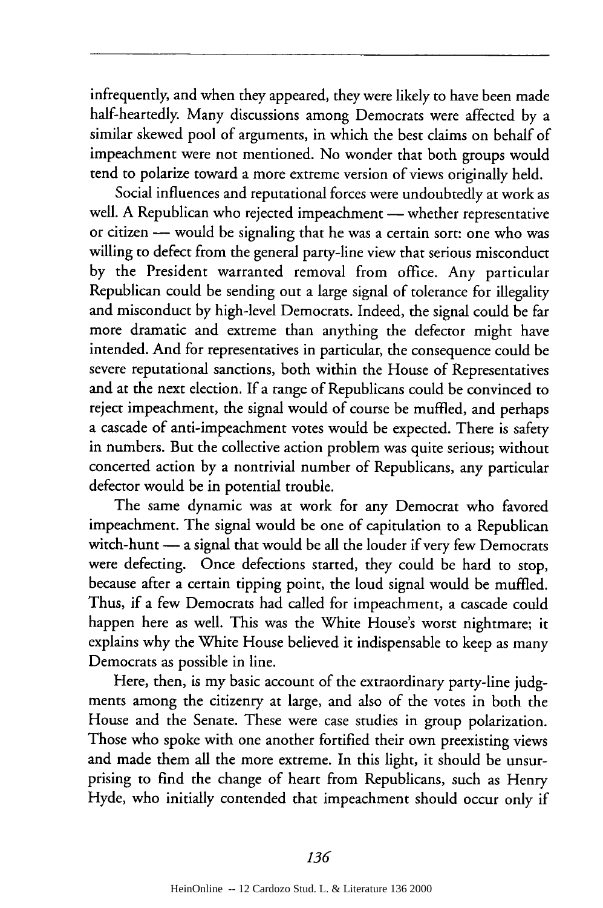infrequently, and when they appeared, they were likely to have been made half-heartedly. Many discussions among Democrats were affected by a similar skewed pool of arguments, in which the best claims on behalf of impeachment were not mentioned. No wonder that both groups would tend to polarize toward a more extreme version of views originally held.

Social influences and reputational forces were undoubtedly at work as well. A Republican who rejected impeachment - whether representative or citizen - would be signaling that he was a certain sort: one who was willing to defect from the general party-line view that serious misconduct by the President warranted removal from office. Any particular Republican could be sending out a large signal of tolerance for illegality and misconduct by high-level Democrats. Indeed, the signal could be far more dramatic and extreme than anything the defector might have intended. And for representatives in particular, the consequence could be severe reputational sanctions, both within the House of Representatives and at the next election. If a range of Republicans could be convinced to reject impeachment, the signal would of course be muffled, and perhaps a cascade of anti-impeachment votes would be expected. There is safety in numbers. But the collective action problem was quite serious; without concerted action by a nontrivial number of Republicans, any particular defector would be in potential trouble.

The same dynamic was at work for any Democrat who favored impeachment. The signal would be one of capitulation to a Republican witch-hunt - a signal that would be all the louder if very few Democrats were defecting. Once defections started, they could be hard to stop, because after a certain tipping point, the loud signal would be muffled. Thus, if a few Democrats had called for impeachment, a cascade could happen here as well. This was the White House's worst nightmare; it explains why the White House believed it indispensable to keep as many Democrats as possible in line.

Here, then, is my basic account of the extraordinary party-line judgments among the citizenry at large, and also of the votes in both the House and the Senate. These were case studies in group polarization. Those who spoke with one another fortified their own preexisting views and made them all the more extreme. In this light, it should be unsurprising to find the change of heart from Republicans, such as Henry Hyde, who initially contended that impeachment should occur only if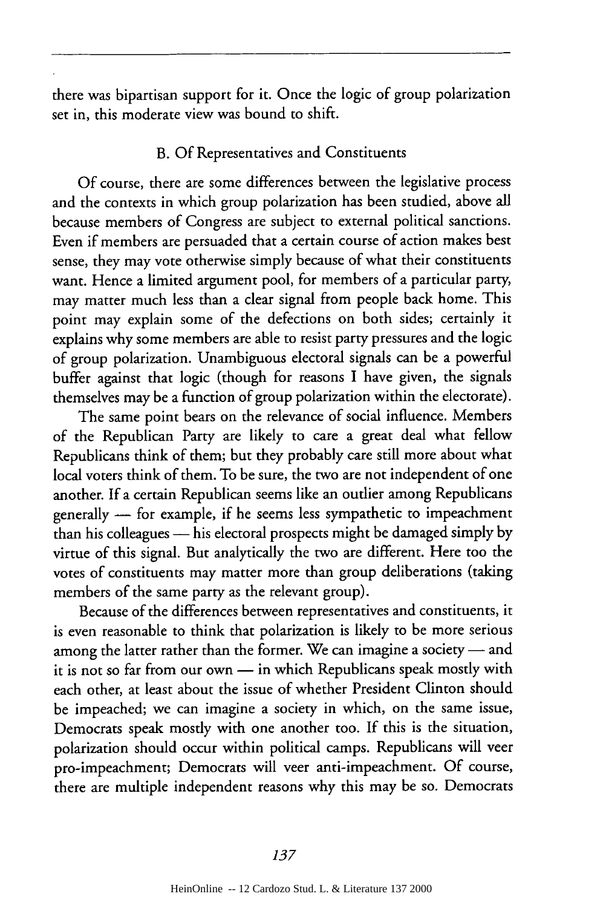there was bipartisan support for it. Once the logic of group polarization set in, this moderate view was bound to shift.

#### B. Of Representatives and Constituents

Of course, there are some differences between the legislative process and the contexts in which group polarization has been studied, above all because members of Congress are subject to external political sanctions. Even if members are persuaded that a certain course of action makes best sense, they may vote otherwise simply because of what their constituents want. Hence a limited argument pool, for members of a particular party, may matter much less than a clear signal from people back home. This point may explain some of the defections on both sides; certainly it explains why some members are able to resist party pressures and the logic of group polarization. Unambiguous electoral signals can be a powerful buffer against that logic (though for reasons I have given, the signals themselves may be a function of group polarization within the electorate).

The same point bears on the relevance of social influence. Members of the Republican Party are likely to care a great deal what fellow Republicans think of them; but they probably care still more about what local voters think of them. To be sure, the two are not independent of one another. If a certain Republican seems like an outlier among Republicans generally - for example, if he seems less sympathetic to impeachment than his colleagues — his electoral prospects might be damaged simply by virtue of this signal. But analytically the two are different. Here too the votes of constituents may matter more than group deliberations (taking members of the same party as the relevant group).

Because of the differences between representatives and constituents, it is even reasonable to think that polarization is likely to be more serious among the latter rather than the former. We can imagine a society  $-$  and it is not so far from our own - in which Republicans speak mostly with each other, at least about the issue of whether President Clinton should be impeached; we can imagine a society in which, on the same issue, Democrats speak mostly with one another too. If this is the situation, polarization should occur within political camps. Republicans will veer pro-impeachment; Democrats will veer anti-impeachment. Of course, there are multiple independent reasons why this may be so. Democrats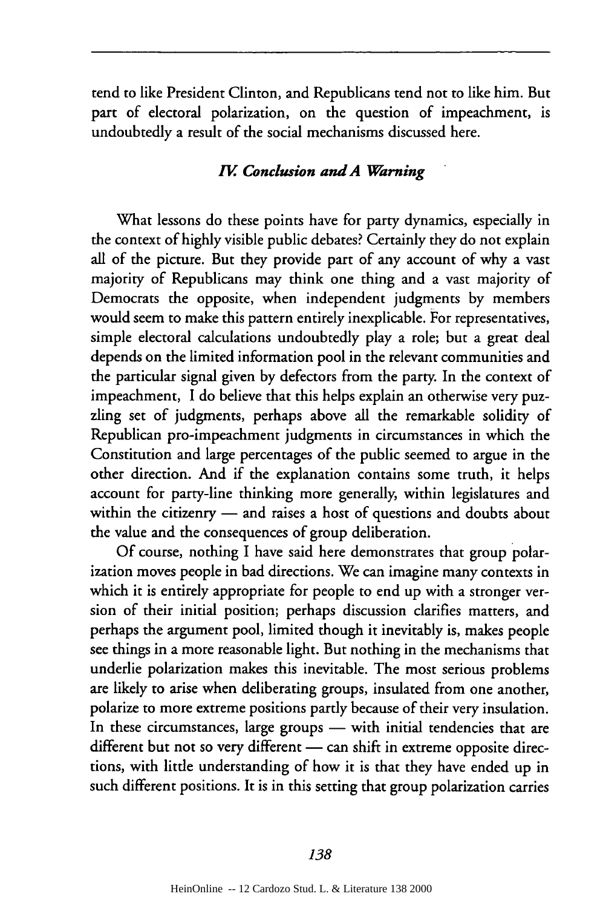tend to like President Clinton, and Republicans tend not to like him. But part of electoral polarization, on the question of impeachment, is undoubtedly a result of the social mechanisms discussed here.

#### *IV Conclusion andA Warning*

What lessons do these points have for party dynamics, especially in the context of highly visible public debates? Certainly they do not explain all of the picture. But they provide part of any account of why a vast majority of Republicans may think one thing and a vast majority of Democrats the opposite, when independent judgments by members would seem to make this pattern entirely inexplicable. For representatives, simple electoral calculations undoubtedly play a role; but a great deal depends on the limited information pool in the relevant communities and the particular signal given by defectors from the party. In the context of impeachment, I do believe that this helps explain an otherwise very puzzling set of judgments, perhaps above all the remarkable solidity of Republican pro-impeachment judgments in circumstances in which the Constitution and large percentages of the public seemed to argue in the other direction. And if the explanation contains some truth, it helps account for party-line thinking more generally, within legislatures and within the citizenry  $-$  and raises a host of questions and doubts about the value and the consequences of group deliberation.

Of course, nothing I have said here demonstrates that group polarization moves people in bad directions. We can imagine many contexts in which it is entirely appropriate for people to end up with a stronger version of their initial position; perhaps discussion clarifies matters, and perhaps the argument pool, limited though it inevitably is, makes people see things in a more reasonable light. But nothing in the mechanisms that underlie polarization makes this inevitable. The most serious problems are likely to arise when deliberating groups, insulated from one another, polarize to more extreme positions partly because of their very insulation. In these circumstances, large groups - with initial tendencies that are different but not so very different - can shift in extreme opposite directions, with little understanding of how it is that they have ended up in such different positions. It is in this setting that group polarization carries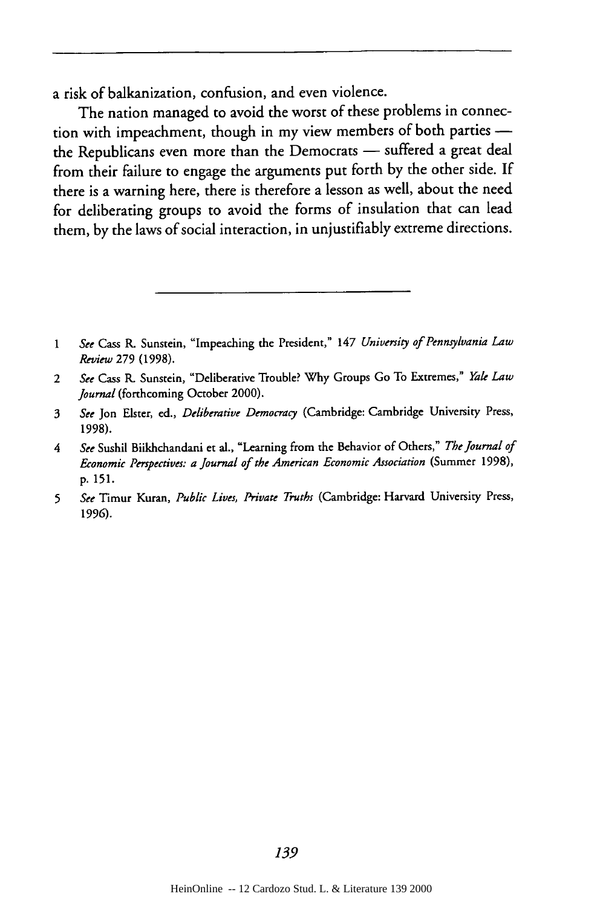a risk of balkanization, confusion, and even violence.

The nation managed to avoid the worst of these problems in connection with impeachment, though in my view members of both parties  the Republicans even more than the Democrats – suffered a great deal from their failure to engage the arguments put forth **by** the other side. **If** there is a warning here, there is therefore a lesson as well, about the need for deliberating groups to avoid the forms of insulation that can lead them, **by** the laws of social interaction, in unjustifiably extreme directions.

*<sup>1</sup> See* Cass R. Sunstein, "Impeaching the President," 147 *University of Pennsylvania Law Review* **279 (1998).**

<sup>2</sup> *See* Cass **R.** Sunstein, "Deliberative Trouble? **Why** Groups Go To Extremes," *Yale Law Journal* (forthcoming October 2000).

**<sup>3</sup>** *See* Jon Elster, ed., *Deliberative Democracy* (Cambridge: Cambridge University Press, **1998).**

*<sup>4</sup> See* Sushil Biikhchandani et al., "Learning from the Behavior of Others," *The Journal of Economic Perspectives: a Journal of the American Economic Association* (Summer **1998), p. 151.**

**<sup>5</sup>** *See* Timur Kuran, *Public Lives, Private Truths* (Cambridge: Harvard University Press, **1996).**